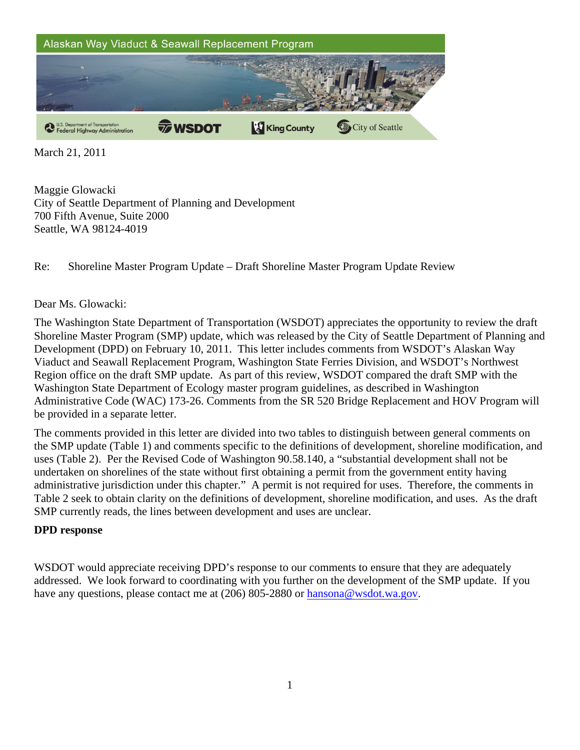

March 21, 2011

Maggie Glowacki City of Seattle Department of Planning and Development 700 Fifth Avenue, Suite 2000 Seattle, WA 98124-4019

Re: Shoreline Master Program Update – Draft Shoreline Master Program Update Review

## Dear Ms. Glowacki:

The Washington State Department of Transportation (WSDOT) appreciates the opportunity to review the draft Shoreline Master Program (SMP) update, which was released by the City of Seattle Department of Planning and Development (DPD) on February 10, 2011. This letter includes comments from WSDOT's Alaskan Way Viaduct and Seawall Replacement Program, Washington State Ferries Division, and WSDOT's Northwest Region office on the draft SMP update. As part of this review, WSDOT compared the draft SMP with the Washington State Department of Ecology master program guidelines, as described in Washington Administrative Code (WAC) 173-26. Comments from the SR 520 Bridge Replacement and HOV Program will be provided in a separate letter.

The comments provided in this letter are divided into two tables to distinguish between general comments on the SMP update (Table 1) and comments specific to the definitions of development, shoreline modification, and uses (Table 2). Per the Revised Code of Washington 90.58.140, a "substantial development shall not be undertaken on shorelines of the state without first obtaining a permit from the government entity having administrative jurisdiction under this chapter." A permit is not required for uses. Therefore, the comments in Table 2 seek to obtain clarity on the definitions of development, shoreline modification, and uses. As the draft SMP currently reads, the lines between development and uses are unclear.

## **DPD response**

WSDOT would appreciate receiving DPD's response to our comments to ensure that they are adequately addressed. We look forward to coordinating with you further on the development of the SMP update. If you have any questions, please contact me at (206) 805-2880 or hansona@wsdot.wa.gov.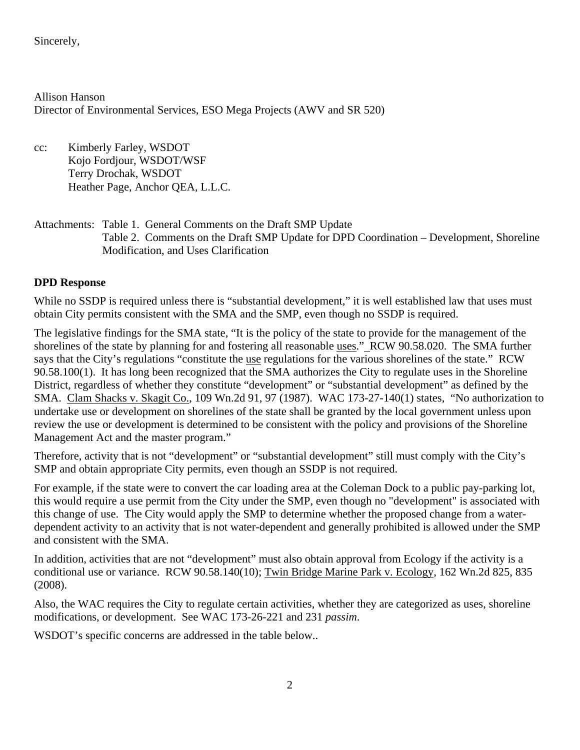Sincerely,

Allison Hanson Director of Environmental Services, ESO Mega Projects (AWV and SR 520)

cc: Kimberly Farley, WSDOT Kojo Fordjour, WSDOT/WSF Terry Drochak, WSDOT Heather Page, Anchor QEA, L.L.C.

## Attachments: Table 1. General Comments on the Draft SMP Update Table 2. Comments on the Draft SMP Update for DPD Coordination – Development, Shoreline Modification, and Uses Clarification

## **DPD Response**

While no SSDP is required unless there is "substantial development," it is well established law that uses must obtain City permits consistent with the SMA and the SMP, even though no SSDP is required.

The legislative findings for the SMA state, "It is the policy of the state to provide for the management of the shorelines of the state by planning for and fostering all reasonable uses." RCW 90.58.020. The SMA further says that the City's regulations "constitute the use regulations for the various shorelines of the state." RCW 90.58.100(1). It has long been recognized that the SMA authorizes the City to regulate uses in the Shoreline District, regardless of whether they constitute "development" or "substantial development" as defined by the SMA. Clam Shacks v. Skagit Co., 109 Wn.2d 91, 97 (1987). WAC 173-27-140(1) states, "No authorization to undertake use or development on shorelines of the state shall be granted by the local government unless upon review the use or development is determined to be consistent with the policy and provisions of the Shoreline Management Act and the master program."

Therefore, activity that is not "development" or "substantial development" still must comply with the City's SMP and obtain appropriate City permits, even though an SSDP is not required.

For example, if the state were to convert the car loading area at the Coleman Dock to a public pay-parking lot, this would require a use permit from the City under the SMP, even though no "development" is associated with this change of use. The City would apply the SMP to determine whether the proposed change from a waterdependent activity to an activity that is not water-dependent and generally prohibited is allowed under the SMP and consistent with the SMA.

In addition, activities that are not "development" must also obtain approval from Ecology if the activity is a conditional use or variance. RCW 90.58.140(10); Twin Bridge Marine Park v. Ecology, 162 Wn.2d 825, 835 (2008).

Also, the WAC requires the City to regulate certain activities, whether they are categorized as uses, shoreline modifications, or development. See WAC 173-26-221 and 231 *passim*.

WSDOT's specific concerns are addressed in the table below..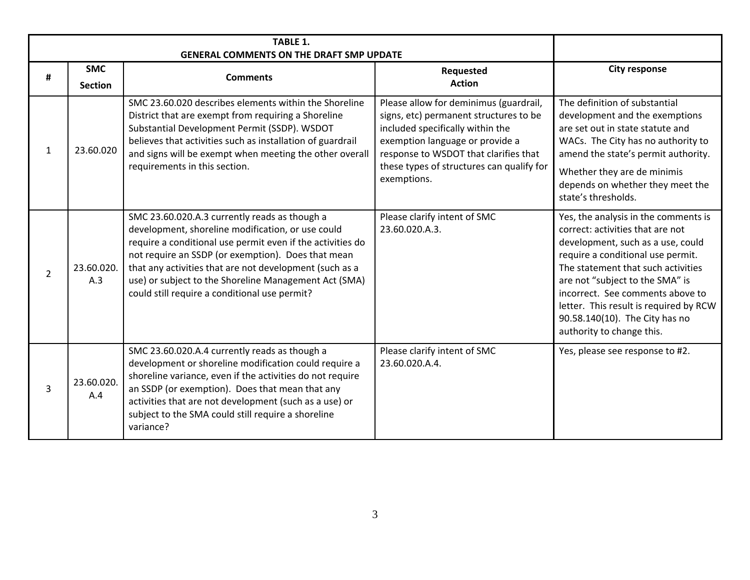| # | <b>SMC</b><br><b>Section</b> | <b>Comments</b>                                                                                                                                                                                                                                                                                                                                                                             | Requested<br><b>Action</b>                                                                                                                                                                                                                                   | <b>City response</b>                                                                                                                                                                                                                                                                                                                                                     |
|---|------------------------------|---------------------------------------------------------------------------------------------------------------------------------------------------------------------------------------------------------------------------------------------------------------------------------------------------------------------------------------------------------------------------------------------|--------------------------------------------------------------------------------------------------------------------------------------------------------------------------------------------------------------------------------------------------------------|--------------------------------------------------------------------------------------------------------------------------------------------------------------------------------------------------------------------------------------------------------------------------------------------------------------------------------------------------------------------------|
| 1 | 23.60.020                    | SMC 23.60.020 describes elements within the Shoreline<br>District that are exempt from requiring a Shoreline<br>Substantial Development Permit (SSDP). WSDOT<br>believes that activities such as installation of guardrail<br>and signs will be exempt when meeting the other overall<br>requirements in this section.                                                                      | Please allow for deminimus (guardrail,<br>signs, etc) permanent structures to be<br>included specifically within the<br>exemption language or provide a<br>response to WSDOT that clarifies that<br>these types of structures can qualify for<br>exemptions. | The definition of substantial<br>development and the exemptions<br>are set out in state statute and<br>WACs. The City has no authority to<br>amend the state's permit authority.<br>Whether they are de minimis<br>depends on whether they meet the<br>state's thresholds.                                                                                               |
| 2 | 23.60.020.<br>A.3            | SMC 23.60.020.A.3 currently reads as though a<br>development, shoreline modification, or use could<br>require a conditional use permit even if the activities do<br>not require an SSDP (or exemption). Does that mean<br>that any activities that are not development (such as a<br>use) or subject to the Shoreline Management Act (SMA)<br>could still require a conditional use permit? | Please clarify intent of SMC<br>23.60.020.A.3.                                                                                                                                                                                                               | Yes, the analysis in the comments is<br>correct: activities that are not<br>development, such as a use, could<br>require a conditional use permit.<br>The statement that such activities<br>are not "subject to the SMA" is<br>incorrect. See comments above to<br>letter. This result is required by RCW<br>90.58.140(10). The City has no<br>authority to change this. |
| 3 | 23.60.020.<br>A.4            | SMC 23.60.020.A.4 currently reads as though a<br>development or shoreline modification could require a<br>shoreline variance, even if the activities do not require<br>an SSDP (or exemption). Does that mean that any<br>activities that are not development (such as a use) or<br>subject to the SMA could still require a shoreline<br>variance?                                         | Please clarify intent of SMC<br>23.60.020.A.4.                                                                                                                                                                                                               | Yes, please see response to #2.                                                                                                                                                                                                                                                                                                                                          |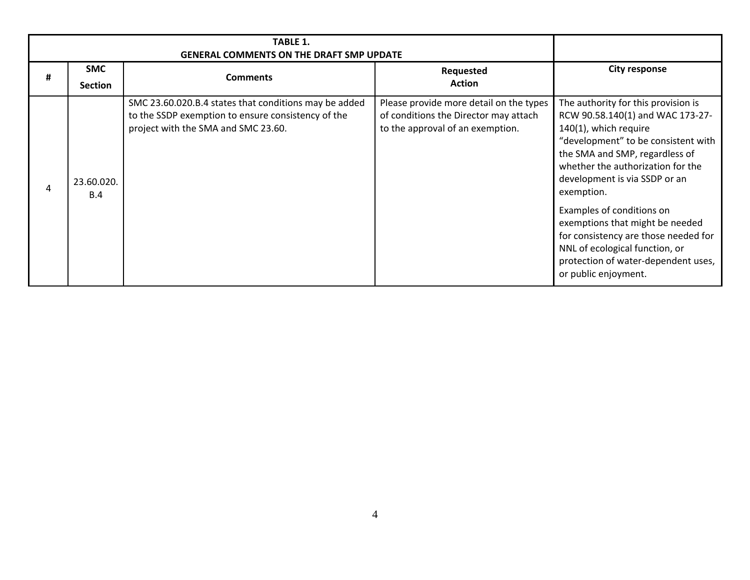| # | <b>SMC</b><br><b>Section</b> | <b>Comments</b>                                                                                                                                    | Requested<br><b>Action</b>                                                                                           | <b>City response</b>                                                                                                                                                                                                                                                                                                                                                                                                                                                   |
|---|------------------------------|----------------------------------------------------------------------------------------------------------------------------------------------------|----------------------------------------------------------------------------------------------------------------------|------------------------------------------------------------------------------------------------------------------------------------------------------------------------------------------------------------------------------------------------------------------------------------------------------------------------------------------------------------------------------------------------------------------------------------------------------------------------|
| 4 | 23.60.020.<br>B.4            | SMC 23.60.020.B.4 states that conditions may be added<br>to the SSDP exemption to ensure consistency of the<br>project with the SMA and SMC 23.60. | Please provide more detail on the types<br>of conditions the Director may attach<br>to the approval of an exemption. | The authority for this provision is<br>RCW 90.58.140(1) and WAC 173-27-<br>140(1), which require<br>"development" to be consistent with<br>the SMA and SMP, regardless of<br>whether the authorization for the<br>development is via SSDP or an<br>exemption.<br>Examples of conditions on<br>exemptions that might be needed<br>for consistency are those needed for<br>NNL of ecological function, or<br>protection of water-dependent uses,<br>or public enjoyment. |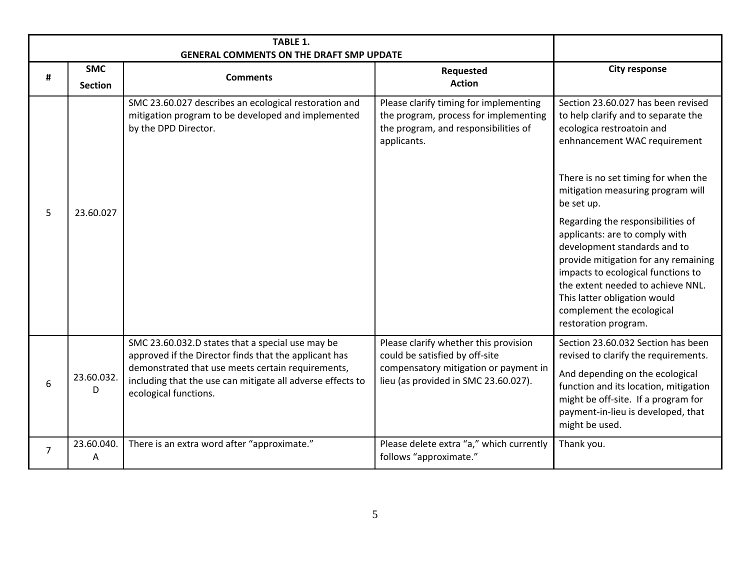| #              | <b>SMC</b><br><b>Section</b> | <b>Comments</b>                                                                                                                                                                                                                                       | Requested<br><b>Action</b>                                                                                                                               | <b>City response</b>                                                                                                                                                                                                                                                                                                                                                                                                                                                                                                                            |
|----------------|------------------------------|-------------------------------------------------------------------------------------------------------------------------------------------------------------------------------------------------------------------------------------------------------|----------------------------------------------------------------------------------------------------------------------------------------------------------|-------------------------------------------------------------------------------------------------------------------------------------------------------------------------------------------------------------------------------------------------------------------------------------------------------------------------------------------------------------------------------------------------------------------------------------------------------------------------------------------------------------------------------------------------|
| 5              | 23.60.027                    | SMC 23.60.027 describes an ecological restoration and<br>mitigation program to be developed and implemented<br>by the DPD Director.                                                                                                                   | Please clarify timing for implementing<br>the program, process for implementing<br>the program, and responsibilities of<br>applicants.                   | Section 23.60.027 has been revised<br>to help clarify and to separate the<br>ecologica restroatoin and<br>enhnancement WAC requirement<br>There is no set timing for when the<br>mitigation measuring program will<br>be set up.<br>Regarding the responsibilities of<br>applicants: are to comply with<br>development standards and to<br>provide mitigation for any remaining<br>impacts to ecological functions to<br>the extent needed to achieve NNL.<br>This latter obligation would<br>complement the ecological<br>restoration program. |
| 6              | 23.60.032.<br>D              | SMC 23.60.032.D states that a special use may be<br>approved if the Director finds that the applicant has<br>demonstrated that use meets certain requirements,<br>including that the use can mitigate all adverse effects to<br>ecological functions. | Please clarify whether this provision<br>could be satisfied by off-site<br>compensatory mitigation or payment in<br>lieu (as provided in SMC 23.60.027). | Section 23.60.032 Section has been<br>revised to clarify the requirements.<br>And depending on the ecological<br>function and its location, mitigation<br>might be off-site. If a program for<br>payment-in-lieu is developed, that<br>might be used.                                                                                                                                                                                                                                                                                           |
| $\overline{7}$ | 23.60.040.<br>A              | There is an extra word after "approximate."                                                                                                                                                                                                           | Please delete extra "a," which currently<br>follows "approximate."                                                                                       | Thank you.                                                                                                                                                                                                                                                                                                                                                                                                                                                                                                                                      |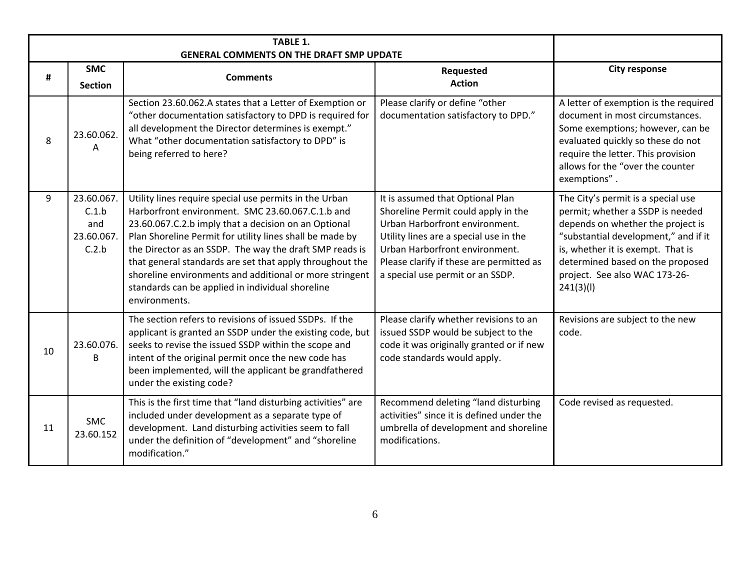| #  | <b>SMC</b><br><b>Section</b>                      | <b>GENERAL COMMENTS ON THE DRAFT SMP UPDATE</b><br><b>Comments</b>                                                                                                                                                                                                                                                                                                                                                                                                                    | Requested<br><b>Action</b>                                                                                                                                                                                                                                            | <b>City response</b>                                                                                                                                                                                                                                                       |
|----|---------------------------------------------------|---------------------------------------------------------------------------------------------------------------------------------------------------------------------------------------------------------------------------------------------------------------------------------------------------------------------------------------------------------------------------------------------------------------------------------------------------------------------------------------|-----------------------------------------------------------------------------------------------------------------------------------------------------------------------------------------------------------------------------------------------------------------------|----------------------------------------------------------------------------------------------------------------------------------------------------------------------------------------------------------------------------------------------------------------------------|
| 8  | 23.60.062.<br>A                                   | Section 23.60.062.A states that a Letter of Exemption or<br>"other documentation satisfactory to DPD is required for<br>all development the Director determines is exempt."<br>What "other documentation satisfactory to DPD" is<br>being referred to here?                                                                                                                                                                                                                           | Please clarify or define "other<br>documentation satisfactory to DPD."                                                                                                                                                                                                | A letter of exemption is the required<br>document in most circumstances.<br>Some exemptions; however, can be<br>evaluated quickly so these do not<br>require the letter. This provision<br>allows for the "over the counter<br>exemptions".                                |
| 9  | 23.60.067.<br>C.1.b<br>and<br>23.60.067.<br>C.2.b | Utility lines require special use permits in the Urban<br>Harborfront environment. SMC 23.60.067.C.1.b and<br>23.60.067.C.2.b imply that a decision on an Optional<br>Plan Shoreline Permit for utility lines shall be made by<br>the Director as an SSDP. The way the draft SMP reads is<br>that general standards are set that apply throughout the<br>shoreline environments and additional or more stringent<br>standards can be applied in individual shoreline<br>environments. | It is assumed that Optional Plan<br>Shoreline Permit could apply in the<br>Urban Harborfront environment.<br>Utility lines are a special use in the<br>Urban Harborfront environment.<br>Please clarify if these are permitted as<br>a special use permit or an SSDP. | The City's permit is a special use<br>permit; whether a SSDP is needed<br>depends on whether the project is<br>"substantial development," and if it<br>is, whether it is exempt. That is<br>determined based on the proposed<br>project. See also WAC 173-26-<br>241(3)(1) |
| 10 | 23.60.076.<br>B                                   | The section refers to revisions of issued SSDPs. If the<br>applicant is granted an SSDP under the existing code, but<br>seeks to revise the issued SSDP within the scope and<br>intent of the original permit once the new code has<br>been implemented, will the applicant be grandfathered<br>under the existing code?                                                                                                                                                              | Please clarify whether revisions to an<br>issued SSDP would be subject to the<br>code it was originally granted or if new<br>code standards would apply.                                                                                                              | Revisions are subject to the new<br>code.                                                                                                                                                                                                                                  |
| 11 | <b>SMC</b><br>23.60.152                           | This is the first time that "land disturbing activities" are<br>included under development as a separate type of<br>development. Land disturbing activities seem to fall<br>under the definition of "development" and "shoreline<br>modification."                                                                                                                                                                                                                                    | Recommend deleting "land disturbing<br>activities" since it is defined under the<br>umbrella of development and shoreline<br>modifications.                                                                                                                           | Code revised as requested.                                                                                                                                                                                                                                                 |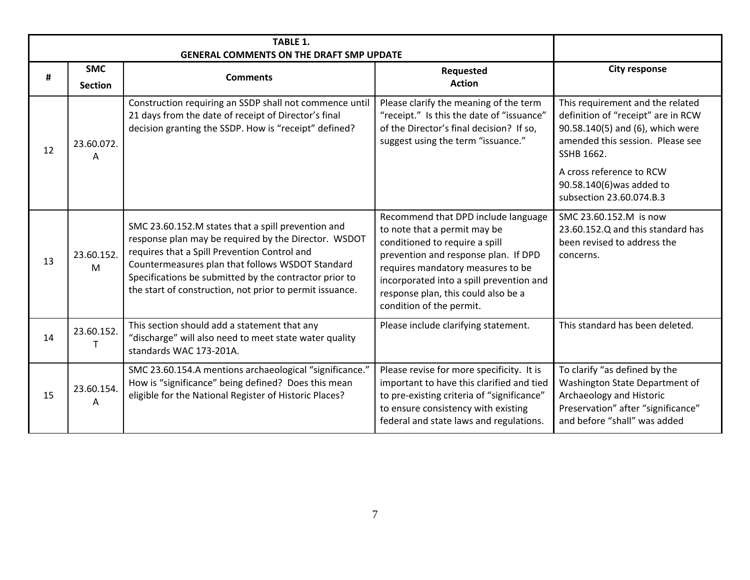|    |                              | <b>TABLE 1.</b><br><b>GENERAL COMMENTS ON THE DRAFT SMP UPDATE</b>                                                                                                                                                                                                                                                                   |                                                                                                                                                                                                                                                                                                   |                                                                                                                                                                   |
|----|------------------------------|--------------------------------------------------------------------------------------------------------------------------------------------------------------------------------------------------------------------------------------------------------------------------------------------------------------------------------------|---------------------------------------------------------------------------------------------------------------------------------------------------------------------------------------------------------------------------------------------------------------------------------------------------|-------------------------------------------------------------------------------------------------------------------------------------------------------------------|
| #  | <b>SMC</b><br><b>Section</b> | <b>Comments</b>                                                                                                                                                                                                                                                                                                                      | Requested<br><b>Action</b>                                                                                                                                                                                                                                                                        | <b>City response</b>                                                                                                                                              |
| 12 | 23.60.072.<br>A              | Construction requiring an SSDP shall not commence until<br>21 days from the date of receipt of Director's final<br>decision granting the SSDP. How is "receipt" defined?                                                                                                                                                             | Please clarify the meaning of the term<br>"receipt." Is this the date of "issuance"<br>of the Director's final decision? If so,<br>suggest using the term "issuance."                                                                                                                             | This requirement and the related<br>definition of "receipt" are in RCW<br>90.58.140(5) and (6), which were<br>amended this session. Please see<br>SSHB 1662.      |
|    |                              |                                                                                                                                                                                                                                                                                                                                      |                                                                                                                                                                                                                                                                                                   | A cross reference to RCW<br>90.58.140(6) was added to<br>subsection 23.60.074.B.3                                                                                 |
| 13 | 23.60.152.<br>M              | SMC 23.60.152.M states that a spill prevention and<br>response plan may be required by the Director. WSDOT<br>requires that a Spill Prevention Control and<br>Countermeasures plan that follows WSDOT Standard<br>Specifications be submitted by the contractor prior to<br>the start of construction, not prior to permit issuance. | Recommend that DPD include language<br>to note that a permit may be<br>conditioned to require a spill<br>prevention and response plan. If DPD<br>requires mandatory measures to be<br>incorporated into a spill prevention and<br>response plan, this could also be a<br>condition of the permit. | SMC 23.60.152.M is now<br>23.60.152.Q and this standard has<br>been revised to address the<br>concerns.                                                           |
| 14 | 23.60.152.                   | This section should add a statement that any<br>"discharge" will also need to meet state water quality<br>standards WAC 173-201A.                                                                                                                                                                                                    | Please include clarifying statement.                                                                                                                                                                                                                                                              | This standard has been deleted.                                                                                                                                   |
| 15 | 23.60.154.<br>A              | SMC 23.60.154.A mentions archaeological "significance."<br>How is "significance" being defined? Does this mean<br>eligible for the National Register of Historic Places?                                                                                                                                                             | Please revise for more specificity. It is<br>important to have this clarified and tied<br>to pre-existing criteria of "significance"<br>to ensure consistency with existing<br>federal and state laws and regulations.                                                                            | To clarify "as defined by the<br>Washington State Department of<br>Archaeology and Historic<br>Preservation" after "significance"<br>and before "shall" was added |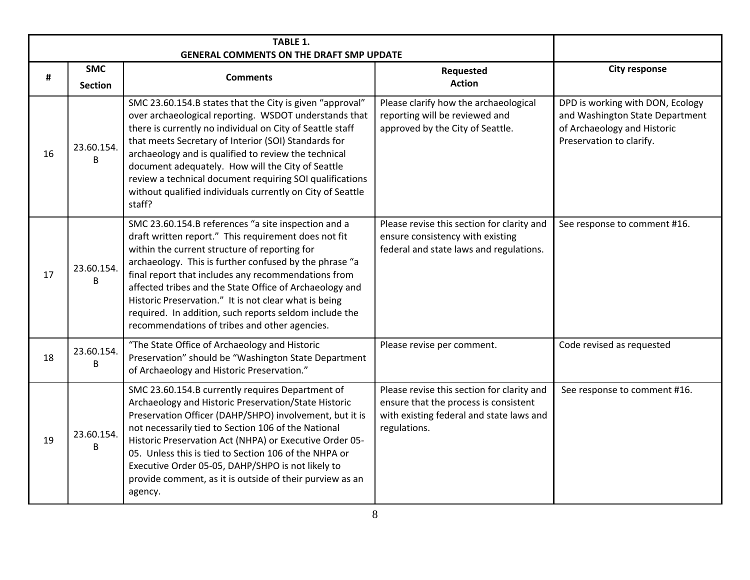|    |                              | <b>TABLE 1.</b>                                                                                                                                                                                                                                                                                                                                                                                                                                                                                              |                                                                                                                                                 |                                                                                                                                |
|----|------------------------------|--------------------------------------------------------------------------------------------------------------------------------------------------------------------------------------------------------------------------------------------------------------------------------------------------------------------------------------------------------------------------------------------------------------------------------------------------------------------------------------------------------------|-------------------------------------------------------------------------------------------------------------------------------------------------|--------------------------------------------------------------------------------------------------------------------------------|
| #  | <b>SMC</b><br><b>Section</b> | <b>GENERAL COMMENTS ON THE DRAFT SMP UPDATE</b><br><b>Comments</b>                                                                                                                                                                                                                                                                                                                                                                                                                                           | Requested<br><b>Action</b>                                                                                                                      | <b>City response</b>                                                                                                           |
| 16 | 23.60.154.<br>B              | SMC 23.60.154.B states that the City is given "approval"<br>over archaeological reporting. WSDOT understands that<br>there is currently no individual on City of Seattle staff<br>that meets Secretary of Interior (SOI) Standards for<br>archaeology and is qualified to review the technical<br>document adequately. How will the City of Seattle<br>review a technical document requiring SOI qualifications<br>without qualified individuals currently on City of Seattle<br>staff?                      | Please clarify how the archaeological<br>reporting will be reviewed and<br>approved by the City of Seattle.                                     | DPD is working with DON, Ecology<br>and Washington State Department<br>of Archaeology and Historic<br>Preservation to clarify. |
| 17 | 23.60.154.<br>B              | SMC 23.60.154.B references "a site inspection and a<br>draft written report." This requirement does not fit<br>within the current structure of reporting for<br>archaeology. This is further confused by the phrase "a<br>final report that includes any recommendations from<br>affected tribes and the State Office of Archaeology and<br>Historic Preservation." It is not clear what is being<br>required. In addition, such reports seldom include the<br>recommendations of tribes and other agencies. | Please revise this section for clarity and<br>ensure consistency with existing<br>federal and state laws and regulations.                       | See response to comment #16.                                                                                                   |
| 18 | 23.60.154.<br>B              | "The State Office of Archaeology and Historic<br>Preservation" should be "Washington State Department<br>of Archaeology and Historic Preservation."                                                                                                                                                                                                                                                                                                                                                          | Please revise per comment.                                                                                                                      | Code revised as requested                                                                                                      |
| 19 | 23.60.154.<br>B              | SMC 23.60.154.B currently requires Department of<br>Archaeology and Historic Preservation/State Historic<br>Preservation Officer (DAHP/SHPO) involvement, but it is<br>not necessarily tied to Section 106 of the National<br>Historic Preservation Act (NHPA) or Executive Order 05-<br>05. Unless this is tied to Section 106 of the NHPA or<br>Executive Order 05-05, DAHP/SHPO is not likely to<br>provide comment, as it is outside of their purview as an<br>agency.                                   | Please revise this section for clarity and<br>ensure that the process is consistent<br>with existing federal and state laws and<br>regulations. | See response to comment #16.                                                                                                   |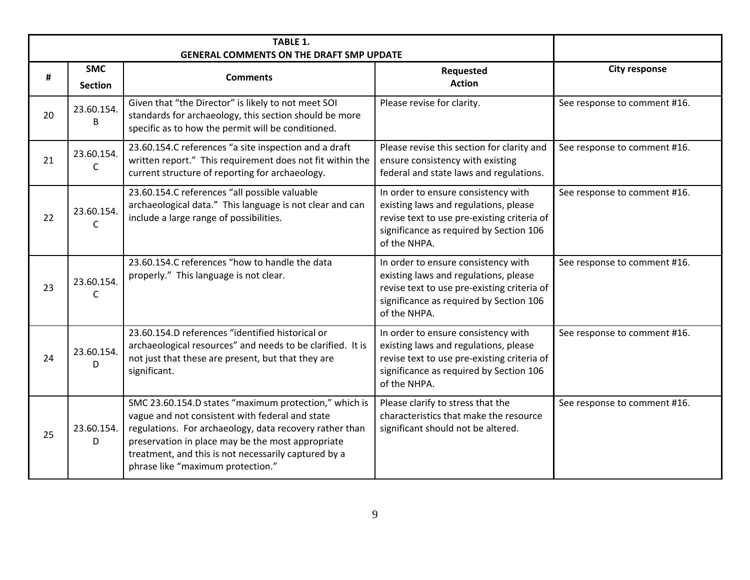| #  | <b>SMC</b><br><b>Section</b> | <b>GENERAL COMMENTS ON THE DRAFT SMP UPDATE</b><br><b>Comments</b>                                                                                                                                                                                                                                                    | Requested<br><b>Action</b>                                                                                                                                                             | <b>City response</b>         |
|----|------------------------------|-----------------------------------------------------------------------------------------------------------------------------------------------------------------------------------------------------------------------------------------------------------------------------------------------------------------------|----------------------------------------------------------------------------------------------------------------------------------------------------------------------------------------|------------------------------|
| 20 | 23.60.154.<br>B              | Given that "the Director" is likely to not meet SOI<br>standards for archaeology, this section should be more<br>specific as to how the permit will be conditioned.                                                                                                                                                   | Please revise for clarity.                                                                                                                                                             | See response to comment #16. |
| 21 | 23.60.154.<br>C              | 23.60.154.C references "a site inspection and a draft<br>written report." This requirement does not fit within the<br>current structure of reporting for archaeology.                                                                                                                                                 | Please revise this section for clarity and<br>ensure consistency with existing<br>federal and state laws and regulations.                                                              | See response to comment #16. |
| 22 | 23.60.154.<br>C              | 23.60.154.C references "all possible valuable<br>archaeological data." This language is not clear and can<br>include a large range of possibilities.                                                                                                                                                                  | In order to ensure consistency with<br>existing laws and regulations, please<br>revise text to use pre-existing criteria of<br>significance as required by Section 106<br>of the NHPA. | See response to comment #16. |
| 23 | 23.60.154.<br>C              | 23.60.154.C references "how to handle the data<br>properly." This language is not clear.                                                                                                                                                                                                                              | In order to ensure consistency with<br>existing laws and regulations, please<br>revise text to use pre-existing criteria of<br>significance as required by Section 106<br>of the NHPA. | See response to comment #16. |
| 24 | 23.60.154.<br>D              | 23.60.154.D references "identified historical or<br>archaeological resources" and needs to be clarified. It is<br>not just that these are present, but that they are<br>significant.                                                                                                                                  | In order to ensure consistency with<br>existing laws and regulations, please<br>revise text to use pre-existing criteria of<br>significance as required by Section 106<br>of the NHPA. | See response to comment #16. |
| 25 | 23.60.154.<br>D              | SMC 23.60.154.D states "maximum protection," which is<br>vague and not consistent with federal and state<br>regulations. For archaeology, data recovery rather than<br>preservation in place may be the most appropriate<br>treatment, and this is not necessarily captured by a<br>phrase like "maximum protection." | Please clarify to stress that the<br>characteristics that make the resource<br>significant should not be altered.                                                                      | See response to comment #16. |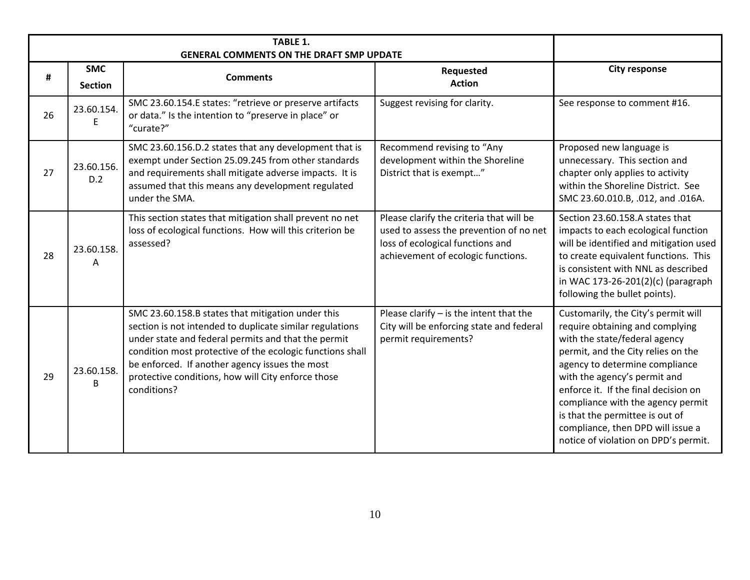| #  | <b>SMC</b><br><b>Section</b> | <b>Comments</b>                                                                                                                                                                                                                                                                                                                                          | Requested<br><b>Action</b>                                                                                                                                    | <b>City response</b>                                                                                                                                                                                                                                                                                                                                                                                         |
|----|------------------------------|----------------------------------------------------------------------------------------------------------------------------------------------------------------------------------------------------------------------------------------------------------------------------------------------------------------------------------------------------------|---------------------------------------------------------------------------------------------------------------------------------------------------------------|--------------------------------------------------------------------------------------------------------------------------------------------------------------------------------------------------------------------------------------------------------------------------------------------------------------------------------------------------------------------------------------------------------------|
| 26 | 23.60.154.<br>F              | SMC 23.60.154.E states: "retrieve or preserve artifacts<br>or data." Is the intention to "preserve in place" or<br>"curate?"                                                                                                                                                                                                                             | Suggest revising for clarity.                                                                                                                                 | See response to comment #16.                                                                                                                                                                                                                                                                                                                                                                                 |
| 27 | 23.60.156.<br>D.2            | SMC 23.60.156.D.2 states that any development that is<br>exempt under Section 25.09.245 from other standards<br>and requirements shall mitigate adverse impacts. It is<br>assumed that this means any development regulated<br>under the SMA.                                                                                                            | Recommend revising to "Any<br>development within the Shoreline<br>District that is exempt"                                                                    | Proposed new language is<br>unnecessary. This section and<br>chapter only applies to activity<br>within the Shoreline District. See<br>SMC 23.60.010.B, .012, and .016A.                                                                                                                                                                                                                                     |
| 28 | 23.60.158.<br>A              | This section states that mitigation shall prevent no net<br>loss of ecological functions. How will this criterion be<br>assessed?                                                                                                                                                                                                                        | Please clarify the criteria that will be<br>used to assess the prevention of no net<br>loss of ecological functions and<br>achievement of ecologic functions. | Section 23.60.158.A states that<br>impacts to each ecological function<br>will be identified and mitigation used<br>to create equivalent functions. This<br>is consistent with NNL as described<br>in WAC 173-26-201(2)(c) (paragraph<br>following the bullet points).                                                                                                                                       |
| 29 | 23.60.158.<br>B              | SMC 23.60.158.B states that mitigation under this<br>section is not intended to duplicate similar regulations<br>under state and federal permits and that the permit<br>condition most protective of the ecologic functions shall<br>be enforced. If another agency issues the most<br>protective conditions, how will City enforce those<br>conditions? | Please clarify $-$ is the intent that the<br>City will be enforcing state and federal<br>permit requirements?                                                 | Customarily, the City's permit will<br>require obtaining and complying<br>with the state/federal agency<br>permit, and the City relies on the<br>agency to determine compliance<br>with the agency's permit and<br>enforce it. If the final decision on<br>compliance with the agency permit<br>is that the permittee is out of<br>compliance, then DPD will issue a<br>notice of violation on DPD's permit. |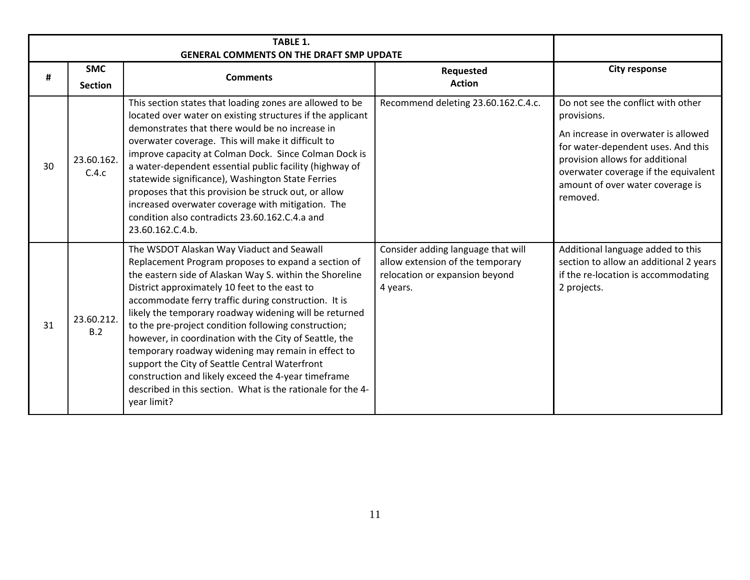| #  | <b>SMC</b><br><b>Section</b> | <b>Comments</b>                                                                                                                                                                                                                                                                                                                                                                                                                                                                                                                                                                                                                                                                               | Requested<br><b>Action</b>                                                                                           | <b>City response</b>                                                                                                                                                                                                                                      |
|----|------------------------------|-----------------------------------------------------------------------------------------------------------------------------------------------------------------------------------------------------------------------------------------------------------------------------------------------------------------------------------------------------------------------------------------------------------------------------------------------------------------------------------------------------------------------------------------------------------------------------------------------------------------------------------------------------------------------------------------------|----------------------------------------------------------------------------------------------------------------------|-----------------------------------------------------------------------------------------------------------------------------------------------------------------------------------------------------------------------------------------------------------|
| 30 | 23.60.162.<br>C.4.c          | This section states that loading zones are allowed to be<br>located over water on existing structures if the applicant<br>demonstrates that there would be no increase in<br>overwater coverage. This will make it difficult to<br>improve capacity at Colman Dock. Since Colman Dock is<br>a water-dependent essential public facility (highway of<br>statewide significance), Washington State Ferries<br>proposes that this provision be struck out, or allow<br>increased overwater coverage with mitigation. The<br>condition also contradicts 23.60.162.C.4.a and<br>23.60.162.C.4.b.                                                                                                   | Recommend deleting 23.60.162.C.4.c.                                                                                  | Do not see the conflict with other<br>provisions.<br>An increase in overwater is allowed<br>for water-dependent uses. And this<br>provision allows for additional<br>overwater coverage if the equivalent<br>amount of over water coverage is<br>removed. |
| 31 | 23.60.212.<br>B.2            | The WSDOT Alaskan Way Viaduct and Seawall<br>Replacement Program proposes to expand a section of<br>the eastern side of Alaskan Way S. within the Shoreline<br>District approximately 10 feet to the east to<br>accommodate ferry traffic during construction. It is<br>likely the temporary roadway widening will be returned<br>to the pre-project condition following construction;<br>however, in coordination with the City of Seattle, the<br>temporary roadway widening may remain in effect to<br>support the City of Seattle Central Waterfront<br>construction and likely exceed the 4-year timeframe<br>described in this section. What is the rationale for the 4-<br>year limit? | Consider adding language that will<br>allow extension of the temporary<br>relocation or expansion beyond<br>4 years. | Additional language added to this<br>section to allow an additional 2 years<br>if the re-location is accommodating<br>2 projects.                                                                                                                         |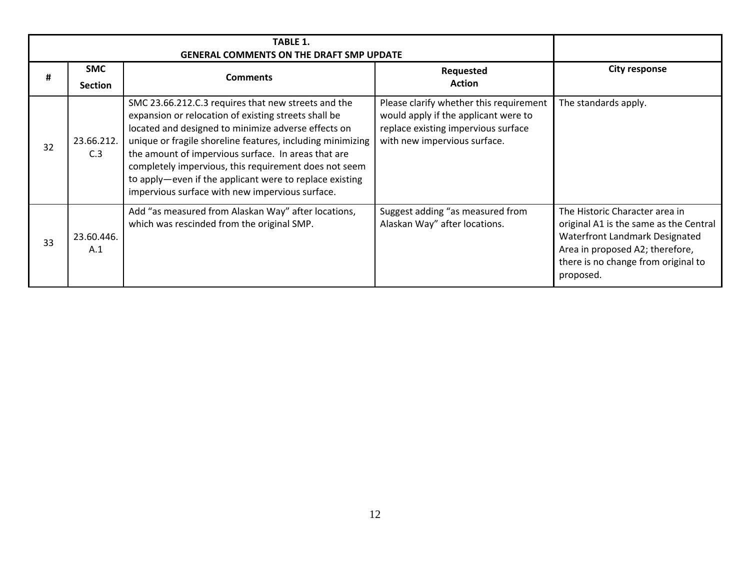| #  | <b>SMC</b><br><b>Section</b> | <b>Comments</b>                                                                                                                                                                                                                                                                                                                                                                                                                                                | Requested<br><b>Action</b>                                                                                                                             | <b>City response</b>                                                                                                                                                                              |
|----|------------------------------|----------------------------------------------------------------------------------------------------------------------------------------------------------------------------------------------------------------------------------------------------------------------------------------------------------------------------------------------------------------------------------------------------------------------------------------------------------------|--------------------------------------------------------------------------------------------------------------------------------------------------------|---------------------------------------------------------------------------------------------------------------------------------------------------------------------------------------------------|
| 32 | 23.66.212.<br>C.3            | SMC 23.66.212.C.3 requires that new streets and the<br>expansion or relocation of existing streets shall be<br>located and designed to minimize adverse effects on<br>unique or fragile shoreline features, including minimizing<br>the amount of impervious surface. In areas that are<br>completely impervious, this requirement does not seem<br>to apply-even if the applicant were to replace existing<br>impervious surface with new impervious surface. | Please clarify whether this requirement<br>would apply if the applicant were to<br>replace existing impervious surface<br>with new impervious surface. | The standards apply.                                                                                                                                                                              |
| 33 | 23.60.446.<br>A.1            | Add "as measured from Alaskan Way" after locations,<br>which was rescinded from the original SMP.                                                                                                                                                                                                                                                                                                                                                              | Suggest adding "as measured from<br>Alaskan Way" after locations.                                                                                      | The Historic Character area in<br>original A1 is the same as the Central<br>Waterfront Landmark Designated<br>Area in proposed A2; therefore,<br>there is no change from original to<br>proposed. |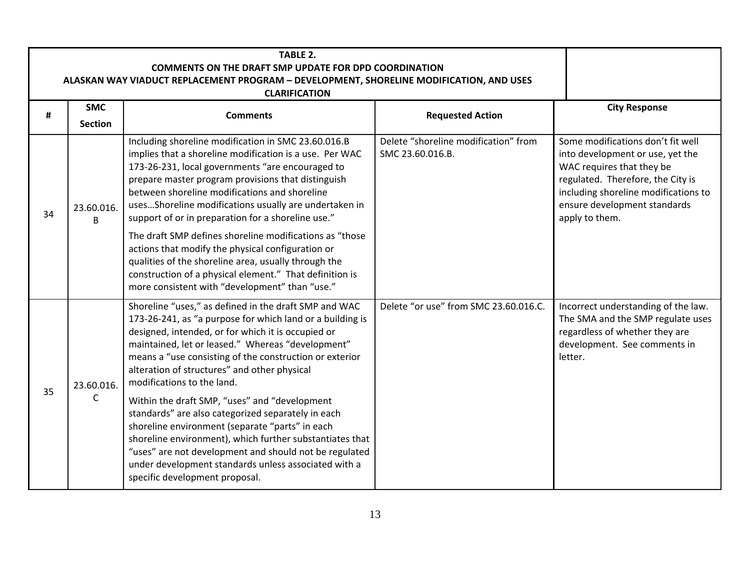|    | <b>TABLE 2.</b><br><b>COMMENTS ON THE DRAFT SMP UPDATE FOR DPD COORDINATION</b><br>ALASKAN WAY VIADUCT REPLACEMENT PROGRAM - DEVELOPMENT, SHORELINE MODIFICATION, AND USES<br><b>CLARIFICATION</b> |                                                                                                                                                                                                                                                                                                                                                                                                                                                                                                                                                                                                                                                                                                                                                  |                                                          |                                                                                                                                                                                                                                   |  |  |
|----|----------------------------------------------------------------------------------------------------------------------------------------------------------------------------------------------------|--------------------------------------------------------------------------------------------------------------------------------------------------------------------------------------------------------------------------------------------------------------------------------------------------------------------------------------------------------------------------------------------------------------------------------------------------------------------------------------------------------------------------------------------------------------------------------------------------------------------------------------------------------------------------------------------------------------------------------------------------|----------------------------------------------------------|-----------------------------------------------------------------------------------------------------------------------------------------------------------------------------------------------------------------------------------|--|--|
| #  | <b>SMC</b><br><b>Section</b>                                                                                                                                                                       | <b>Comments</b>                                                                                                                                                                                                                                                                                                                                                                                                                                                                                                                                                                                                                                                                                                                                  | <b>Requested Action</b>                                  | <b>City Response</b>                                                                                                                                                                                                              |  |  |
| 34 | 23.60.016.<br>В                                                                                                                                                                                    | Including shoreline modification in SMC 23.60.016.B<br>implies that a shoreline modification is a use. Per WAC<br>173-26-231, local governments "are encouraged to<br>prepare master program provisions that distinguish<br>between shoreline modifications and shoreline<br>usesShoreline modifications usually are undertaken in<br>support of or in preparation for a shoreline use."<br>The draft SMP defines shoreline modifications as "those<br>actions that modify the physical configuration or<br>qualities of the shoreline area, usually through the<br>construction of a physical element." That definition is<br>more consistent with "development" than "use."                                                                    | Delete "shoreline modification" from<br>SMC 23.60.016.B. | Some modifications don't fit well<br>into development or use, yet the<br>WAC requires that they be<br>regulated. Therefore, the City is<br>including shoreline modifications to<br>ensure development standards<br>apply to them. |  |  |
| 35 | 23.60.016.<br>C                                                                                                                                                                                    | Shoreline "uses," as defined in the draft SMP and WAC<br>173-26-241, as "a purpose for which land or a building is<br>designed, intended, or for which it is occupied or<br>maintained, let or leased." Whereas "development"<br>means a "use consisting of the construction or exterior<br>alteration of structures" and other physical<br>modifications to the land.<br>Within the draft SMP, "uses" and "development<br>standards" are also categorized separately in each<br>shoreline environment (separate "parts" in each<br>shoreline environment), which further substantiates that<br>"uses" are not development and should not be regulated<br>under development standards unless associated with a<br>specific development proposal. | Delete "or use" from SMC 23.60.016.C.                    | Incorrect understanding of the law.<br>The SMA and the SMP regulate uses<br>regardless of whether they are<br>development. See comments in<br>letter.                                                                             |  |  |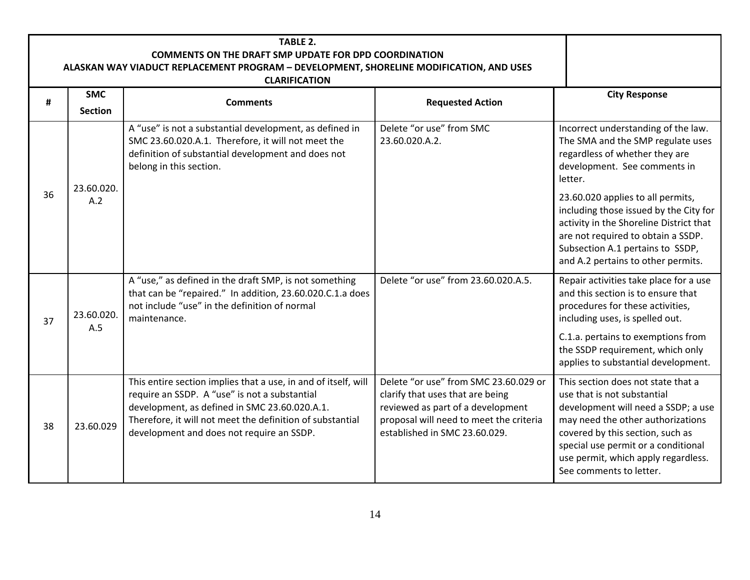|    | <b>TABLE 2.</b><br><b>COMMENTS ON THE DRAFT SMP UPDATE FOR DPD COORDINATION</b><br>ALASKAN WAY VIADUCT REPLACEMENT PROGRAM - DEVELOPMENT, SHORELINE MODIFICATION, AND USES<br><b>CLARIFICATION</b> |                                                                                                                                                                                                                                                                            |                                                                                                                                                                                            |                                                                                                                                                                                                                                                                                            |  |  |
|----|----------------------------------------------------------------------------------------------------------------------------------------------------------------------------------------------------|----------------------------------------------------------------------------------------------------------------------------------------------------------------------------------------------------------------------------------------------------------------------------|--------------------------------------------------------------------------------------------------------------------------------------------------------------------------------------------|--------------------------------------------------------------------------------------------------------------------------------------------------------------------------------------------------------------------------------------------------------------------------------------------|--|--|
| #  | <b>SMC</b><br><b>Section</b>                                                                                                                                                                       | <b>Comments</b>                                                                                                                                                                                                                                                            | <b>Requested Action</b>                                                                                                                                                                    | <b>City Response</b>                                                                                                                                                                                                                                                                       |  |  |
|    | 23.60.020.                                                                                                                                                                                         | A "use" is not a substantial development, as defined in<br>SMC 23.60.020.A.1. Therefore, it will not meet the<br>definition of substantial development and does not<br>belong in this section.                                                                             | Delete "or use" from SMC<br>23.60.020.A.2.                                                                                                                                                 | Incorrect understanding of the law.<br>The SMA and the SMP regulate uses<br>regardless of whether they are<br>development. See comments in<br>letter.                                                                                                                                      |  |  |
| 36 | A.2                                                                                                                                                                                                |                                                                                                                                                                                                                                                                            |                                                                                                                                                                                            | 23.60.020 applies to all permits,<br>including those issued by the City for<br>activity in the Shoreline District that<br>are not required to obtain a SSDP.<br>Subsection A.1 pertains to SSDP,<br>and A.2 pertains to other permits.                                                     |  |  |
| 37 | 23.60.020.<br>A.5                                                                                                                                                                                  | A "use," as defined in the draft SMP, is not something<br>that can be "repaired." In addition, 23.60.020.C.1.a does<br>not include "use" in the definition of normal<br>maintenance.                                                                                       | Delete "or use" from 23.60.020.A.5.                                                                                                                                                        | Repair activities take place for a use<br>and this section is to ensure that<br>procedures for these activities,<br>including uses, is spelled out.<br>C.1.a. pertains to exemptions from                                                                                                  |  |  |
|    |                                                                                                                                                                                                    |                                                                                                                                                                                                                                                                            |                                                                                                                                                                                            | the SSDP requirement, which only<br>applies to substantial development.                                                                                                                                                                                                                    |  |  |
| 38 | 23.60.029                                                                                                                                                                                          | This entire section implies that a use, in and of itself, will<br>require an SSDP. A "use" is not a substantial<br>development, as defined in SMC 23.60.020.A.1.<br>Therefore, it will not meet the definition of substantial<br>development and does not require an SSDP. | Delete "or use" from SMC 23.60.029 or<br>clarify that uses that are being<br>reviewed as part of a development<br>proposal will need to meet the criteria<br>established in SMC 23.60.029. | This section does not state that a<br>use that is not substantial<br>development will need a SSDP; a use<br>may need the other authorizations<br>covered by this section, such as<br>special use permit or a conditional<br>use permit, which apply regardless.<br>See comments to letter. |  |  |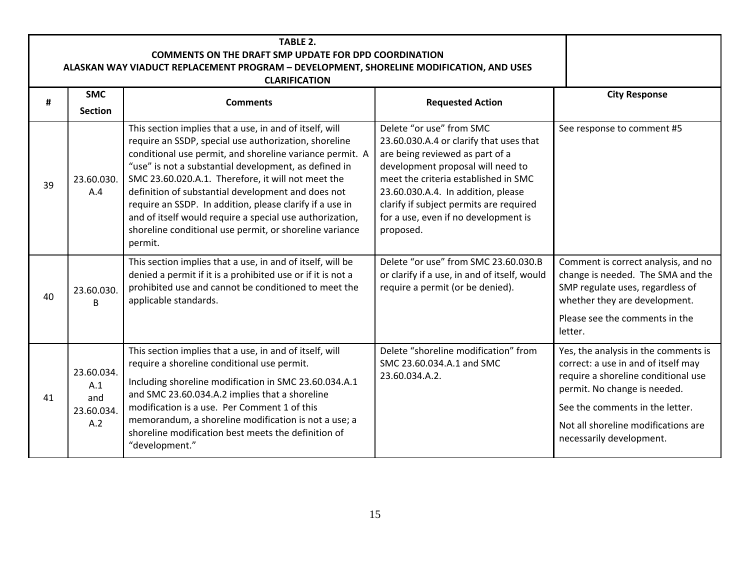|    | TABLE 2.<br><b>COMMENTS ON THE DRAFT SMP UPDATE FOR DPD COORDINATION</b><br>ALASKAN WAY VIADUCT REPLACEMENT PROGRAM - DEVELOPMENT, SHORELINE MODIFICATION, AND USES |                                                                                                                                                                                                                                                                                                                                                                                                                                                                                                                                                 |                                                                                                                                                                                                                                                                                                                           |                                                                                                                                                                                                                                                          |  |  |  |  |
|----|---------------------------------------------------------------------------------------------------------------------------------------------------------------------|-------------------------------------------------------------------------------------------------------------------------------------------------------------------------------------------------------------------------------------------------------------------------------------------------------------------------------------------------------------------------------------------------------------------------------------------------------------------------------------------------------------------------------------------------|---------------------------------------------------------------------------------------------------------------------------------------------------------------------------------------------------------------------------------------------------------------------------------------------------------------------------|----------------------------------------------------------------------------------------------------------------------------------------------------------------------------------------------------------------------------------------------------------|--|--|--|--|
| #  | <b>SMC</b><br><b>Section</b>                                                                                                                                        | <b>CLARIFICATION</b><br><b>Comments</b>                                                                                                                                                                                                                                                                                                                                                                                                                                                                                                         | <b>Requested Action</b>                                                                                                                                                                                                                                                                                                   | <b>City Response</b>                                                                                                                                                                                                                                     |  |  |  |  |
| 39 | 23.60.030.<br>A.4                                                                                                                                                   | This section implies that a use, in and of itself, will<br>require an SSDP, special use authorization, shoreline<br>conditional use permit, and shoreline variance permit. A<br>"use" is not a substantial development, as defined in<br>SMC 23.60.020.A.1. Therefore, it will not meet the<br>definition of substantial development and does not<br>require an SSDP. In addition, please clarify if a use in<br>and of itself would require a special use authorization,<br>shoreline conditional use permit, or shoreline variance<br>permit. | Delete "or use" from SMC<br>23.60.030.A.4 or clarify that uses that<br>are being reviewed as part of a<br>development proposal will need to<br>meet the criteria established in SMC<br>23.60.030.A.4. In addition, please<br>clarify if subject permits are required<br>for a use, even if no development is<br>proposed. | See response to comment #5                                                                                                                                                                                                                               |  |  |  |  |
| 40 | 23.60.030.<br>B                                                                                                                                                     | This section implies that a use, in and of itself, will be<br>denied a permit if it is a prohibited use or if it is not a<br>prohibited use and cannot be conditioned to meet the<br>applicable standards.                                                                                                                                                                                                                                                                                                                                      | Delete "or use" from SMC 23.60.030.B<br>or clarify if a use, in and of itself, would<br>require a permit (or be denied).                                                                                                                                                                                                  | Comment is correct analysis, and no<br>change is needed. The SMA and the<br>SMP regulate uses, regardless of<br>whether they are development.<br>Please see the comments in the<br>letter.                                                               |  |  |  |  |
| 41 | 23.60.034.<br>A.1<br>and<br>23.60.034.<br>A.2                                                                                                                       | This section implies that a use, in and of itself, will<br>require a shoreline conditional use permit.<br>Including shoreline modification in SMC 23.60.034.A.1<br>and SMC 23.60.034.A.2 implies that a shoreline<br>modification is a use. Per Comment 1 of this<br>memorandum, a shoreline modification is not a use; a<br>shoreline modification best meets the definition of<br>"development."                                                                                                                                              | Delete "shoreline modification" from<br>SMC 23.60.034.A.1 and SMC<br>23.60.034.A.2.                                                                                                                                                                                                                                       | Yes, the analysis in the comments is<br>correct: a use in and of itself may<br>require a shoreline conditional use<br>permit. No change is needed.<br>See the comments in the letter.<br>Not all shoreline modifications are<br>necessarily development. |  |  |  |  |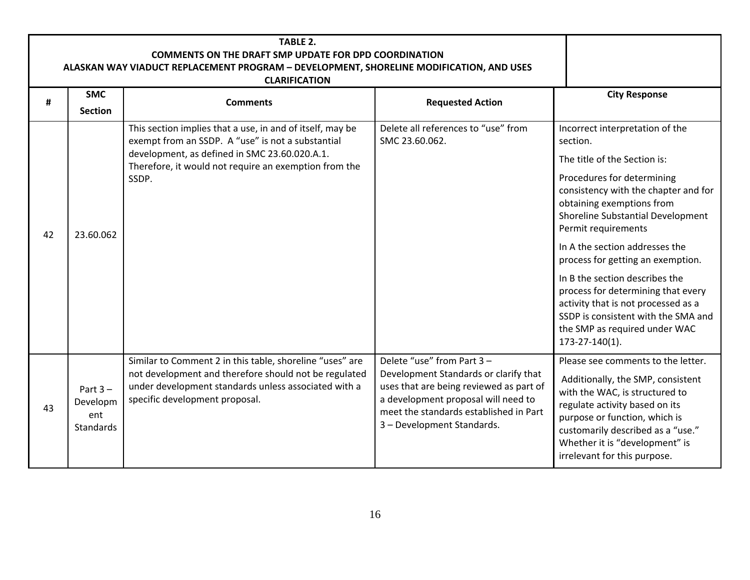| <b>TABLE 2.</b><br><b>COMMENTS ON THE DRAFT SMP UPDATE FOR DPD COORDINATION</b><br>ALASKAN WAY VIADUCT REPLACEMENT PROGRAM - DEVELOPMENT, SHORELINE MODIFICATION, AND USES<br><b>CLARIFICATION</b> |                                                   |                                                                                                                                                                                                                                   |                                                                                                                                                                                                                               |                                                                                                                                                                                                                                                                                                                                                                                                                                                                                                                                   |  |  |  |  |
|----------------------------------------------------------------------------------------------------------------------------------------------------------------------------------------------------|---------------------------------------------------|-----------------------------------------------------------------------------------------------------------------------------------------------------------------------------------------------------------------------------------|-------------------------------------------------------------------------------------------------------------------------------------------------------------------------------------------------------------------------------|-----------------------------------------------------------------------------------------------------------------------------------------------------------------------------------------------------------------------------------------------------------------------------------------------------------------------------------------------------------------------------------------------------------------------------------------------------------------------------------------------------------------------------------|--|--|--|--|
| #                                                                                                                                                                                                  | <b>SMC</b><br><b>Section</b>                      | <b>Comments</b>                                                                                                                                                                                                                   | <b>Requested Action</b>                                                                                                                                                                                                       | <b>City Response</b>                                                                                                                                                                                                                                                                                                                                                                                                                                                                                                              |  |  |  |  |
| 42                                                                                                                                                                                                 | 23.60.062                                         | This section implies that a use, in and of itself, may be<br>exempt from an SSDP. A "use" is not a substantial<br>development, as defined in SMC 23.60.020.A.1.<br>Therefore, it would not require an exemption from the<br>SSDP. | Delete all references to "use" from<br>SMC 23.60.062.                                                                                                                                                                         | Incorrect interpretation of the<br>section.<br>The title of the Section is:<br>Procedures for determining<br>consistency with the chapter and for<br>obtaining exemptions from<br>Shoreline Substantial Development<br>Permit requirements<br>In A the section addresses the<br>process for getting an exemption.<br>In B the section describes the<br>process for determining that every<br>activity that is not processed as a<br>SSDP is consistent with the SMA and<br>the SMP as required under WAC<br>$173 - 27 - 140(1)$ . |  |  |  |  |
| 43                                                                                                                                                                                                 | Part $3 -$<br>Developm<br>ent<br><b>Standards</b> | Similar to Comment 2 in this table, shoreline "uses" are<br>not development and therefore should not be regulated<br>under development standards unless associated with a<br>specific development proposal.                       | Delete "use" from Part 3 -<br>Development Standards or clarify that<br>uses that are being reviewed as part of<br>a development proposal will need to<br>meet the standards established in Part<br>3 - Development Standards. | Please see comments to the letter.<br>Additionally, the SMP, consistent<br>with the WAC, is structured to<br>regulate activity based on its<br>purpose or function, which is<br>customarily described as a "use."<br>Whether it is "development" is<br>irrelevant for this purpose.                                                                                                                                                                                                                                               |  |  |  |  |